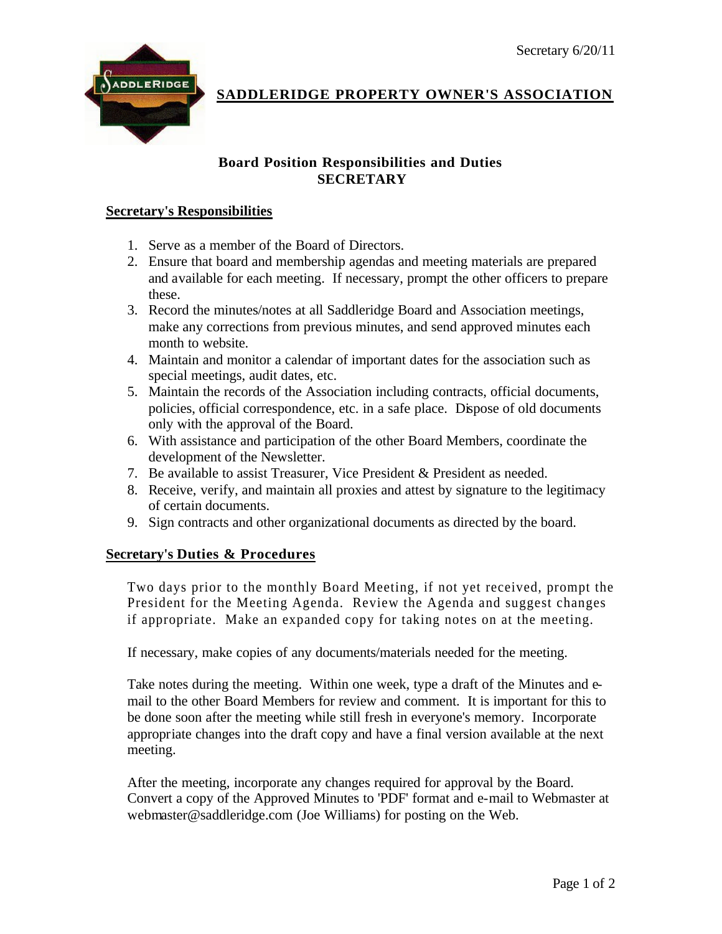

**SADDLERIDGE PROPERTY OWNER'S ASSOCIATION**

## **Board Position Responsibilities and Duties SECRETARY**

## **Secretary's Responsibilities**

- 1. Serve as a member of the Board of Directors.
- 2. Ensure that board and membership agendas and meeting materials are prepared and available for each meeting. If necessary, prompt the other officers to prepare these.
- 3. Record the minutes/notes at all Saddleridge Board and Association meetings, make any corrections from previous minutes, and send approved minutes each month to website.
- 4. Maintain and monitor a calendar of important dates for the association such as special meetings, audit dates, etc.
- 5. Maintain the records of the Association including contracts, official documents, policies, official correspondence, etc. in a safe place. Dispose of old documents only with the approval of the Board.
- 6. With assistance and participation of the other Board Members, coordinate the development of the Newsletter.
- 7. Be available to assist Treasurer, Vice President & President as needed.
- 8. Receive, verify, and maintain all proxies and attest by signature to the legitimacy of certain documents.
- 9. Sign contracts and other organizational documents as directed by the board.

## **Secretary's Duties & Procedures**

Two days prior to the monthly Board Meeting, if not yet received, prompt the President for the Meeting Agenda. Review the Agenda and suggest changes if appropriate. Make an expanded copy for taking notes on at the meeting.

If necessary, make copies of any documents/materials needed for the meeting.

Take notes during the meeting. Within one week, type a draft of the Minutes and email to the other Board Members for review and comment. It is important for this to be done soon after the meeting while still fresh in everyone's memory. Incorporate appropriate changes into the draft copy and have a final version available at the next meeting.

After the meeting, incorporate any changes required for approval by the Board. Convert a copy of the Approved Minutes to 'PDF' format and e-mail to Webmaster at webmaster@saddleridge.com (Joe Williams) for posting on the Web.